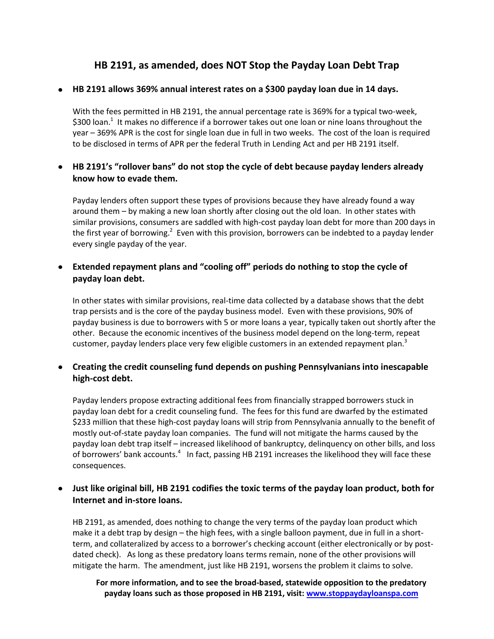# **HB 2191, as amended, does NOT Stop the Payday Loan Debt Trap**

#### **HB 2191 allows 369% annual interest rates on a \$300 payday loan due in 14 days.**

With the fees permitted in HB 2191, the annual percentage rate is 369% for a typical two-week, \$300 loan.<sup>1</sup> It makes no difference if a borrower takes out one loan or nine loans throughout the year – 369% APR is the cost for single loan due in full in two weeks. The cost of the loan is required to be disclosed in terms of APR per the federal Truth in Lending Act and per HB 2191 itself.

### **HB 2191's "rollover bans" do not stop the cycle of debt because payday lenders already know how to evade them.**

Payday lenders often support these types of provisions because they have already found a way around them – by making a new loan shortly after closing out the old loan. In other states with similar provisions, consumers are saddled with high-cost payday loan debt for more than 200 days in the first year of borrowing.<sup>2</sup> Even with this provision, borrowers can be indebted to a payday lender every single payday of the year.

### **Extended repayment plans and "cooling off" periods do nothing to stop the cycle of payday loan debt.**

In other states with similar provisions, real-time data collected by a database shows that the debt trap persists and is the core of the payday business model. Even with these provisions, 90% of payday business is due to borrowers with 5 or more loans a year, typically taken out shortly after the other. Because the economic incentives of the business model depend on the long-term, repeat customer, payday lenders place very few eligible customers in an extended repayment plan. $3$ 

### **Creating the credit counseling fund depends on pushing Pennsylvanians into inescapable high-cost debt.**

Payday lenders propose extracting additional fees from financially strapped borrowers stuck in payday loan debt for a credit counseling fund. The fees for this fund are dwarfed by the estimated \$233 million that these high-cost payday loans will strip from Pennsylvania annually to the benefit of mostly out-of-state payday loan companies. The fund will not mitigate the harms caused by the payday loan debt trap itself – increased likelihood of bankruptcy, delinquency on other bills, and loss of borrowers' bank accounts.<sup>4</sup> In fact, passing HB 2191 increases the likelihood they will face these consequences.

## **Just like original bill, HB 2191 codifies the toxic terms of the payday loan product, both for Internet and in-store loans.**

HB 2191, as amended, does nothing to change the very terms of the payday loan product which make it a debt trap by design – the high fees, with a single balloon payment, due in full in a shortterm, and collateralized by access to a borrower's checking account (either electronically or by postdated check). As long as these predatory loans terms remain, none of the other provisions will mitigate the harm. The amendment, just like HB 2191, worsens the problem it claims to solve.

**For more information, and to see the broad-based, statewide opposition to the predatory payday loans such as those proposed in HB 2191, visit: www.stoppaydayloanspa.com**